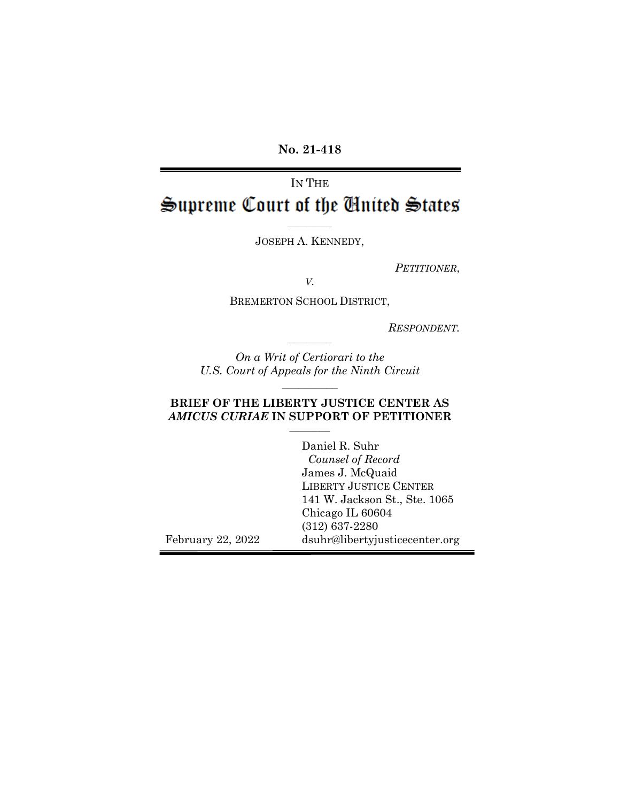**No. 21-418**

# IN THE Supreme Court of the United States

 $\overline{\phantom{a}}$ JOSEPH A. KENNEDY,

*PETITIONER*,

*V.*

BREMERTON SCHOOL DISTRICT,

*RESPONDENT.*

*On a Writ of Certiorari to the U.S. Court of Appeals for the Ninth Circuit*  $\frac{1}{2}$ 

## **BRIEF OF THE LIBERTY JUSTICE CENTER AS**  *AMICUS CURIAE* **IN SUPPORT OF PETITIONER**

February 22, 2022 Daniel R. Suhr *Counsel of Record* James J. McQuaid LIBERTY JUSTICE CENTER 141 W. Jackson St., Ste. 1065 Chicago IL 60604 (312) 637-2280 dsuhr@libertyjusticecenter.org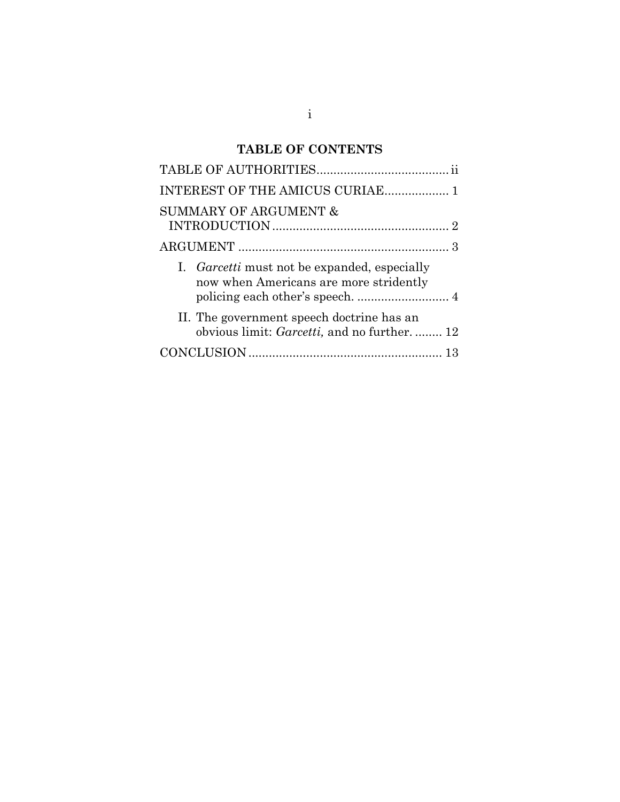# **TABLE OF CONTENTS**

| INTEREST OF THE AMICUS CURIAE 1                                                               |  |
|-----------------------------------------------------------------------------------------------|--|
| <b>SUMMARY OF ARGUMENT &amp;</b>                                                              |  |
|                                                                                               |  |
| I. <i>Garcetti</i> must not be expanded, especially<br>now when Americans are more stridently |  |
| II. The government speech doctrine has an<br>obvious limit: Garcetti, and no further 12       |  |
|                                                                                               |  |
|                                                                                               |  |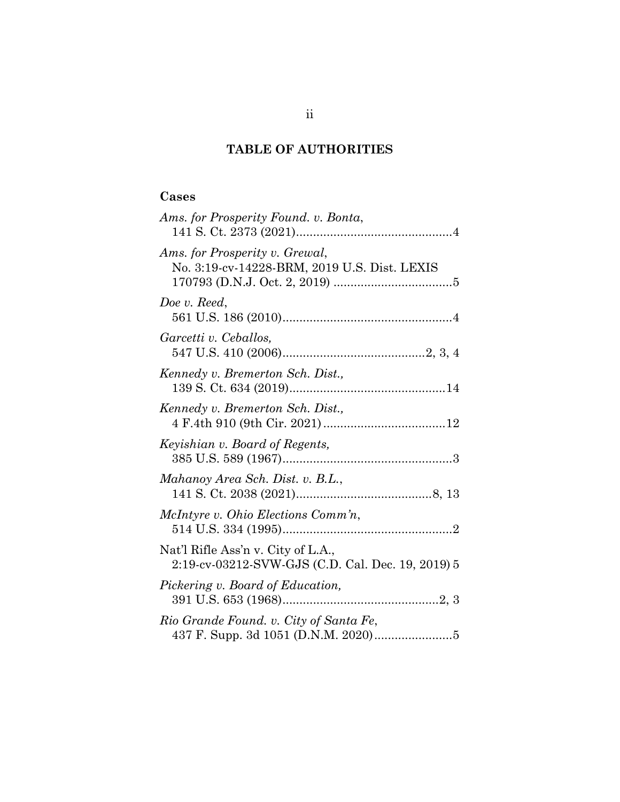# **TABLE OF AUTHORITIES**

# **Cases**

| Ams. for Prosperity Found. v. Bonta,                                                    |
|-----------------------------------------------------------------------------------------|
| Ams. for Prosperity v. Grewal,<br>No. 3:19-cv-14228-BRM, 2019 U.S. Dist. LEXIS          |
| Doe v. Reed,                                                                            |
| Garcetti v. Ceballos,                                                                   |
| Kennedy v. Bremerton Sch. Dist.,                                                        |
| Kennedy v. Bremerton Sch. Dist.,                                                        |
| Keyishian v. Board of Regents,                                                          |
| Mahanoy Area Sch. Dist. v. B.L.,                                                        |
| McIntyre v. Ohio Elections Comm'n,                                                      |
| Nat'l Rifle Ass'n v. City of L.A.,<br>2:19-cv-03212-SVW-GJS (C.D. Cal. Dec. 19, 2019) 5 |
| Pickering v. Board of Education,                                                        |
| Rio Grande Found. v. City of Santa Fe,                                                  |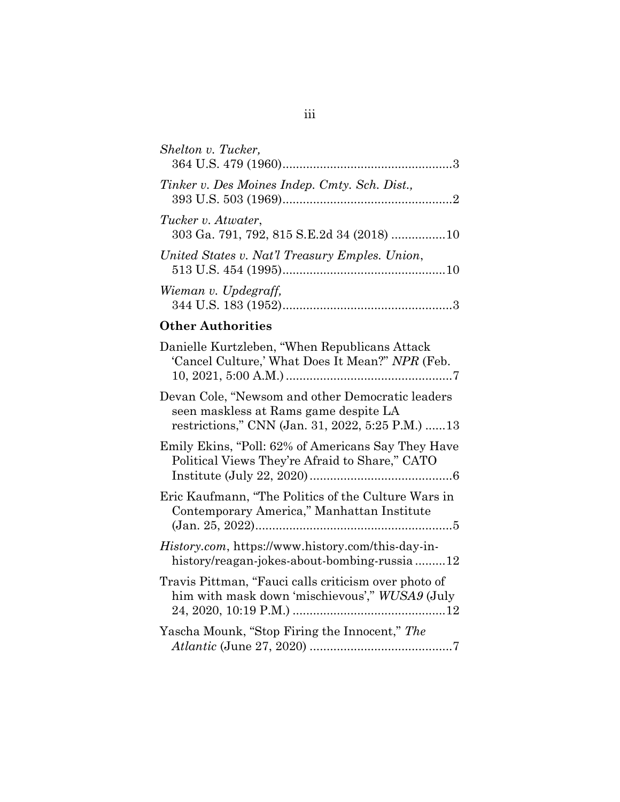| Shelton v. Tucker,                                              |
|-----------------------------------------------------------------|
| Tinker v. Des Moines Indep. Cmty. Sch. Dist.,                   |
| Tucker v. Atwater,<br>303 Ga. 791, 792, 815 S.E.2d 34 (2018) 10 |
| United States v. Nat'l Treasury Emples. Union,                  |
| Wieman v. Updegraff,                                            |

# **Other Authorities**

| Danielle Kurtzleben, "When Republicans Attack"<br>'Cancel Culture,' What Does It Mean?" NPR (Feb.                                             |
|-----------------------------------------------------------------------------------------------------------------------------------------------|
| Devan Cole, "Newsom and other Democratic leaders<br>seen maskless at Rams game despite LA<br>restrictions," CNN (Jan. 31, 2022, 5:25 P.M.) 13 |
| Emily Ekins, "Poll: 62% of Americans Say They Have<br>Political Views They're Afraid to Share," CATO                                          |
| Eric Kaufmann, "The Politics of the Culture Wars in<br>Contemporary America," Manhattan Institute                                             |
| <i>History.com, https://www.history.com/this-day-in-</i><br>history/reagan-jokes-about-bombing-russia12                                       |
| Travis Pittman, "Fauci calls criticism over photo of<br>him with mask down 'mischievous'," WUSA9 (July                                        |
| Yascha Mounk, "Stop Firing the Innocent," The                                                                                                 |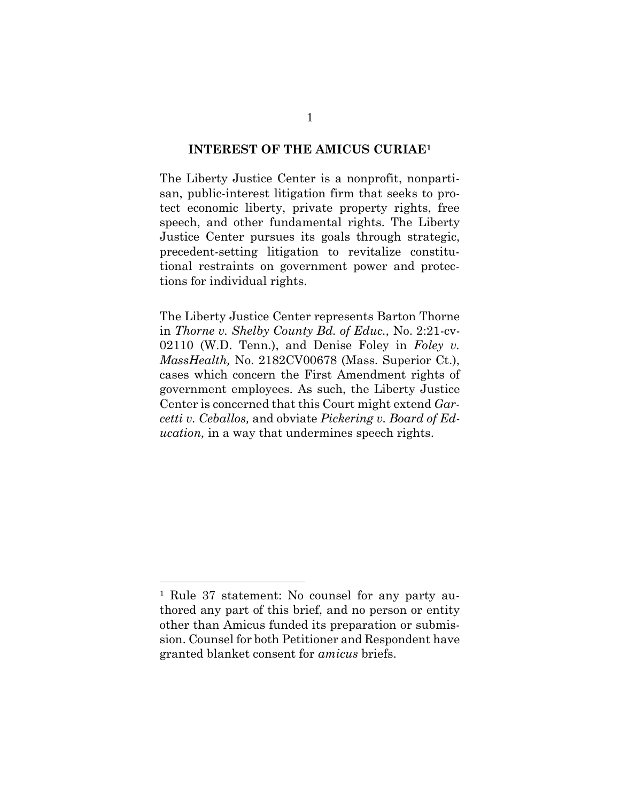#### **INTEREST OF THE AMICUS CURIAE<sup>1</sup>**

The Liberty Justice Center is a nonprofit, nonpartisan, public-interest litigation firm that seeks to protect economic liberty, private property rights, free speech, and other fundamental rights. The Liberty Justice Center pursues its goals through strategic, precedent-setting litigation to revitalize constitutional restraints on government power and protections for individual rights.

The Liberty Justice Center represents Barton Thorne in *Thorne v. Shelby County Bd. of Educ.,* No. 2:21-cv-02110 (W.D. Tenn.), and Denise Foley in *Foley v. MassHealth,* No. 2182CV00678 (Mass. Superior Ct.), cases which concern the First Amendment rights of government employees. As such, the Liberty Justice Center is concerned that this Court might extend *Garcetti v. Ceballos,* and obviate *Pickering v. Board of Education,* in a way that undermines speech rights.

<sup>1</sup> Rule 37 statement: No counsel for any party authored any part of this brief, and no person or entity other than Amicus funded its preparation or submission. Counsel for both Petitioner and Respondent have granted blanket consent for *amicus* briefs.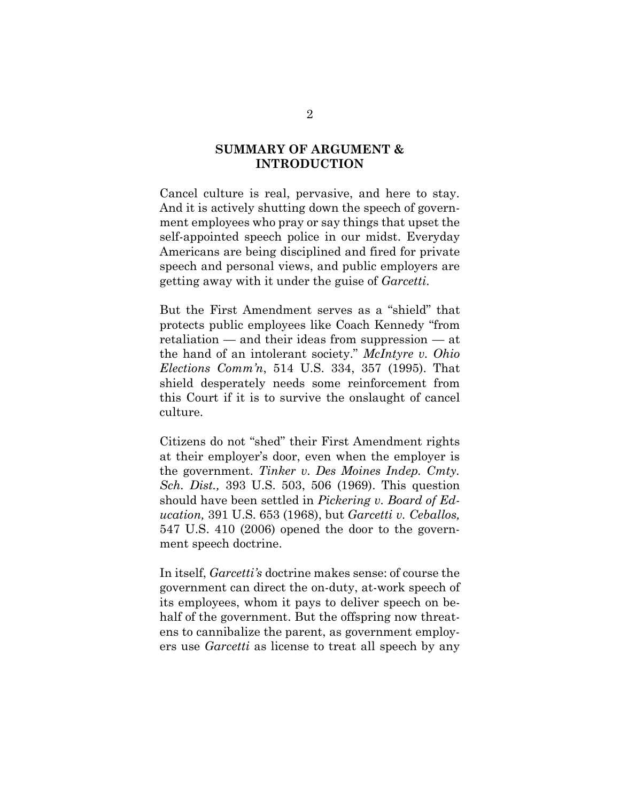## **SUMMARY OF ARGUMENT & INTRODUCTION**

Cancel culture is real, pervasive, and here to stay. And it is actively shutting down the speech of government employees who pray or say things that upset the self-appointed speech police in our midst. Everyday Americans are being disciplined and fired for private speech and personal views, and public employers are getting away with it under the guise of *Garcetti*.

But the First Amendment serves as a "shield" that protects public employees like Coach Kennedy "from retaliation — and their ideas from suppression — at the hand of an intolerant society." *McIntyre v. Ohio Elections Comm'n*, 514 U.S. 334, 357 (1995). That shield desperately needs some reinforcement from this Court if it is to survive the onslaught of cancel culture.

Citizens do not "shed" their First Amendment rights at their employer's door, even when the employer is the government. *Tinker v. Des Moines Indep. Cmty. Sch. Dist.,* 393 U.S. 503, 506 (1969). This question should have been settled in *Pickering v. Board of Education,* 391 U.S. 653 (1968), but *Garcetti v. Ceballos,*  547 U.S. 410 (2006) opened the door to the government speech doctrine.

In itself, *Garcetti's* doctrine makes sense: of course the government can direct the on-duty, at-work speech of its employees, whom it pays to deliver speech on behalf of the government. But the offspring now threatens to cannibalize the parent, as government employers use *Garcetti* as license to treat all speech by any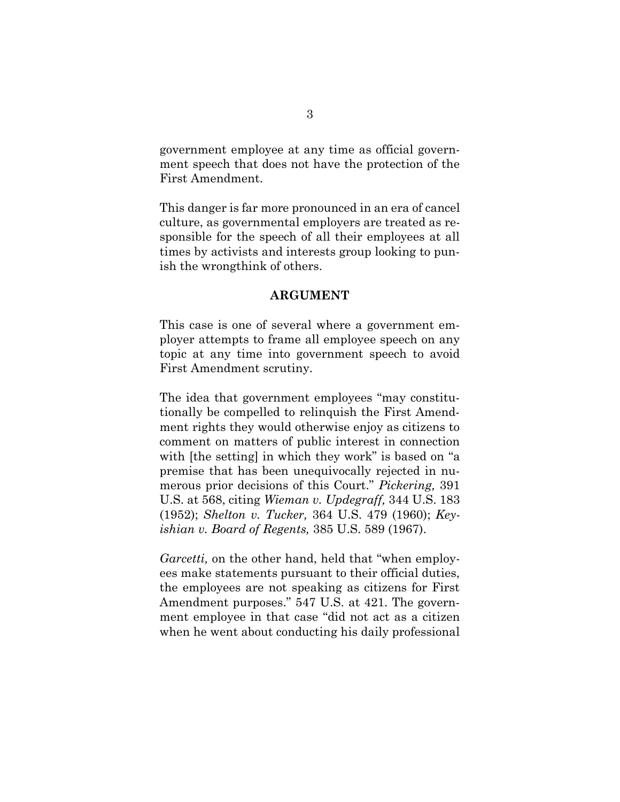government employee at any time as official government speech that does not have the protection of the First Amendment.

This danger is far more pronounced in an era of cancel culture, as governmental employers are treated as responsible for the speech of all their employees at all times by activists and interests group looking to punish the wrongthink of others.

### **ARGUMENT**

This case is one of several where a government employer attempts to frame all employee speech on any topic at any time into government speech to avoid First Amendment scrutiny.

The idea that government employees "may constitutionally be compelled to relinquish the First Amendment rights they would otherwise enjoy as citizens to comment on matters of public interest in connection with [the setting] in which they work" is based on "a premise that has been unequivocally rejected in numerous prior decisions of this Court." *Pickering,* 391 U.S. at 568, citing *Wieman v. Updegraff,* 344 U.S. 183 (1952); *Shelton v. Tucker,* 364 U.S. 479 (1960); *Keyishian v. Board of Regents,* 385 U.S. 589 (1967).

*Garcetti*, on the other hand, held that "when employees make statements pursuant to their official duties, the employees are not speaking as citizens for First Amendment purposes." 547 U.S. at 421. The government employee in that case "did not act as a citizen when he went about conducting his daily professional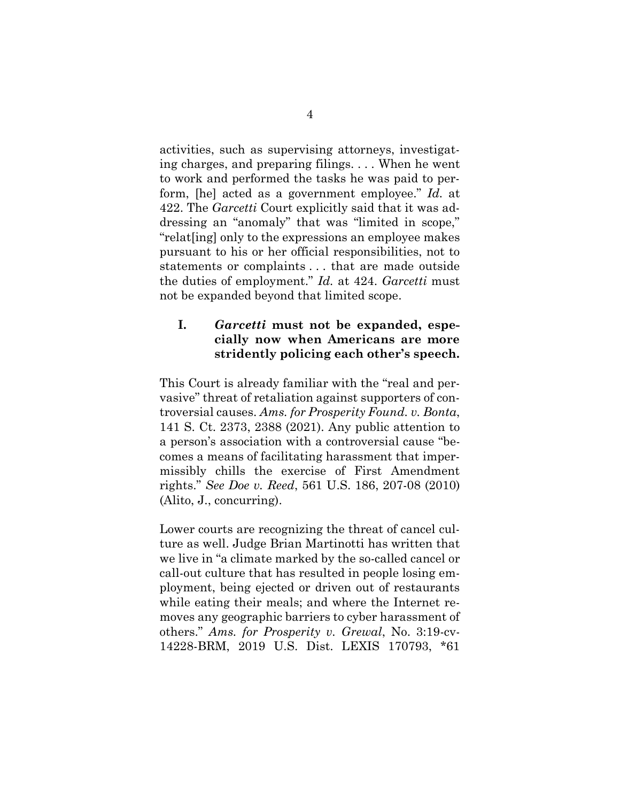activities, such as supervising attorneys, investigating charges, and preparing filings. . . . When he went to work and performed the tasks he was paid to perform, [he] acted as a government employee." *Id.* at 422. The *Garcetti* Court explicitly said that it was addressing an "anomaly" that was "limited in scope," "relat[ing] only to the expressions an employee makes pursuant to his or her official responsibilities, not to statements or complaints . . . that are made outside the duties of employment." *Id.* at 424. *Garcetti* must not be expanded beyond that limited scope.

# **I.** *Garcetti* **must not be expanded, especially now when Americans are more stridently policing each other's speech.**

This Court is already familiar with the "real and pervasive" threat of retaliation against supporters of controversial causes. *Ams. for Prosperity Found. v. Bonta*, 141 S. Ct. 2373, 2388 (2021). Any public attention to a person's association with a controversial cause "becomes a means of facilitating harassment that impermissibly chills the exercise of First Amendment rights." *See Doe v. Reed*, 561 U.S. 186, 207-08 (2010) (Alito, J., concurring).

Lower courts are recognizing the threat of cancel culture as well. Judge Brian Martinotti has written that we live in "a climate marked by the so-called cancel or call-out culture that has resulted in people losing employment, being ejected or driven out of restaurants while eating their meals; and where the Internet removes any geographic barriers to cyber harassment of others." *Ams. for Prosperity v. Grewal*, No. 3:19-cv-14228-BRM, 2019 U.S. Dist. LEXIS 170793, \*61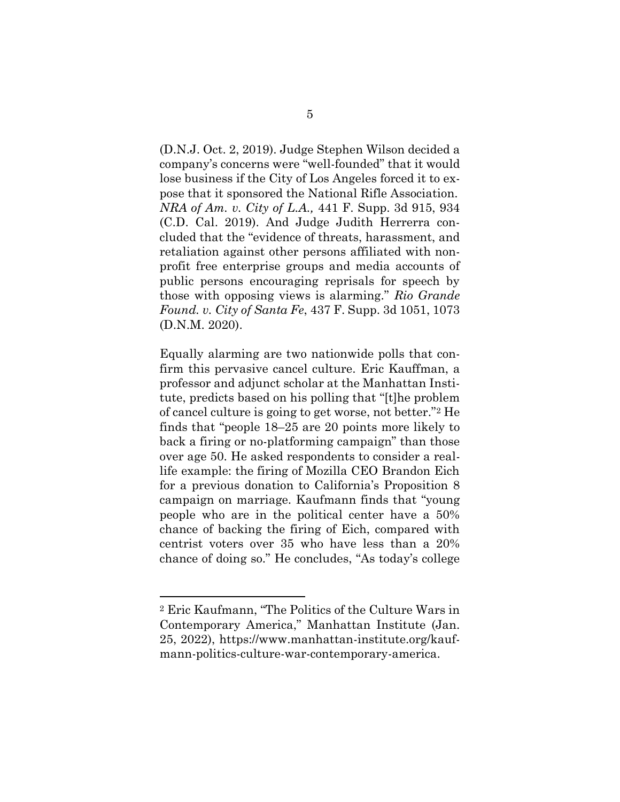(D.N.J. Oct. 2, 2019). Judge Stephen Wilson decided a company's concerns were "well-founded" that it would lose business if the City of Los Angeles forced it to expose that it sponsored the National Rifle Association. *NRA of Am. v. City of L.A.,* 441 F. Supp. 3d 915, 934 (C.D. Cal. 2019). And Judge Judith Herrerra concluded that the "evidence of threats, harassment, and retaliation against other persons affiliated with nonprofit free enterprise groups and media accounts of public persons encouraging reprisals for speech by those with opposing views is alarming." *Rio Grande Found. v. City of Santa Fe*, 437 F. Supp. 3d 1051, 1073 (D.N.M. 2020).

Equally alarming are two nationwide polls that confirm this pervasive cancel culture. Eric Kauffman, a professor and adjunct scholar at the Manhattan Institute, predicts based on his polling that "[t]he problem of cancel culture is going to get worse, not better."<sup>2</sup> He finds that "people 18–25 are 20 points more likely to back a firing or no-platforming campaign" than those over age 50. He asked respondents to consider a reallife example: the firing of Mozilla CEO Brandon Eich for a previous donation to California's Proposition 8 campaign on marriage. Kaufmann finds that "young people who are in the political center have a 50% chance of backing the firing of Eich, compared with centrist voters over 35 who have less than a 20% chance of doing so." He concludes, "As today's college

<sup>2</sup> Eric Kaufmann, "The Politics of the Culture Wars in Contemporary America," Manhattan Institute (Jan. 25, 2022), https://www.manhattan-institute.org/kaufmann-politics-culture-war-contemporary-america.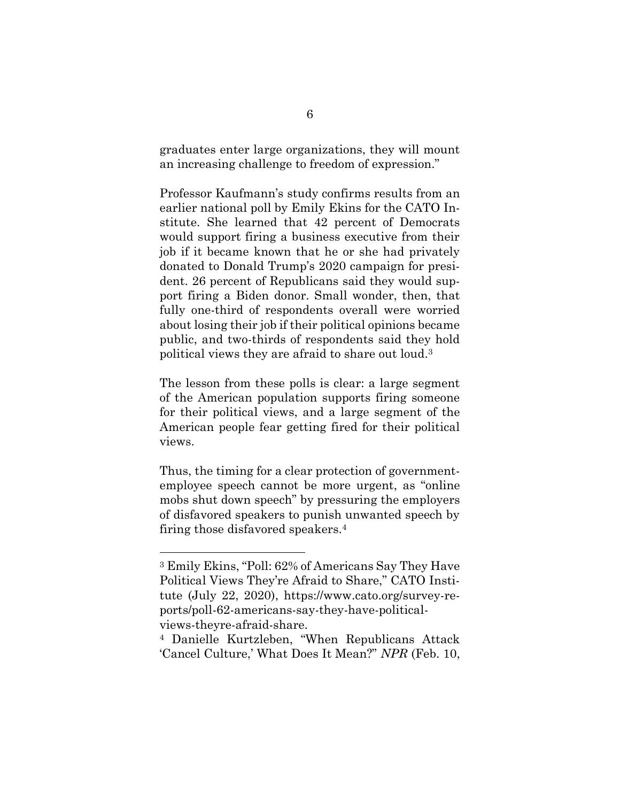graduates enter large organizations, they will mount an increasing challenge to freedom of expression."

Professor Kaufmann's study confirms results from an earlier national poll by Emily Ekins for the CATO Institute. She learned that 42 percent of Democrats would support firing a business executive from their job if it became known that he or she had privately donated to Donald Trump's 2020 campaign for president. 26 percent of Republicans said they would support firing a Biden donor. Small wonder, then, that fully one-third of respondents overall were worried about losing their job if their political opinions became public, and two-thirds of respondents said they hold political views they are afraid to share out loud. 3

The lesson from these polls is clear: a large segment of the American population supports firing someone for their political views, and a large segment of the American people fear getting fired for their political views.

Thus, the timing for a clear protection of governmentemployee speech cannot be more urgent, as "online mobs shut down speech" by pressuring the employers of disfavored speakers to punish unwanted speech by firing those disfavored speakers.<sup>4</sup>

<sup>3</sup> Emily Ekins, "Poll: 62% of Americans Say They Have Political Views They're Afraid to Share," CATO Institute (July 22, 2020), https://www.cato.org/survey-reports/poll-62-americans-say-they-have-politicalviews-theyre-afraid-share.

<sup>4</sup> Danielle Kurtzleben, "When Republicans Attack 'Cancel Culture,' What Does It Mean?" *NPR* (Feb. 10,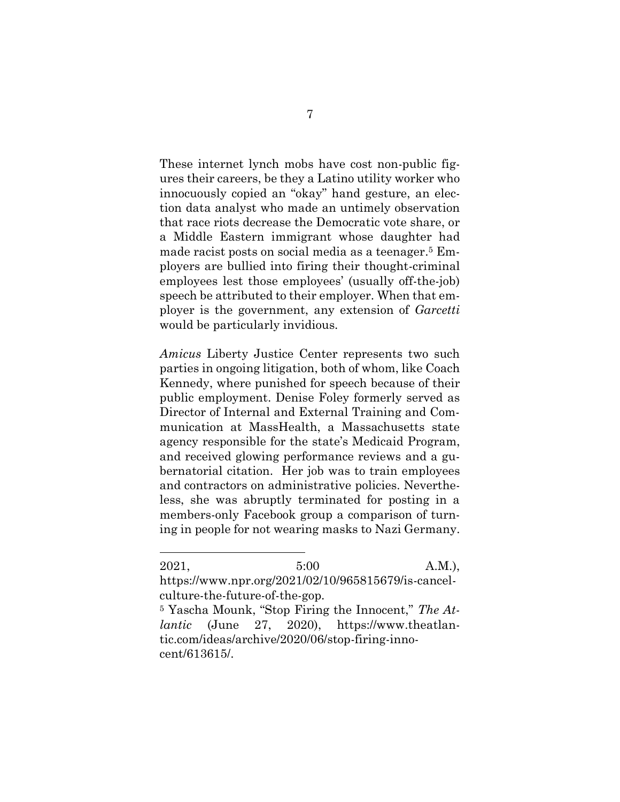These internet lynch mobs have cost non-public figures their careers, be they a Latino utility worker who innocuously copied an "okay" hand gesture, an election data analyst who made an untimely observation that race riots decrease the Democratic vote share, or a Middle Eastern immigrant whose daughter had made racist posts on social media as a teenager. <sup>5</sup> Employers are bullied into firing their thought-criminal employees lest those employees' (usually off-the-job) speech be attributed to their employer. When that employer is the government, any extension of *Garcetti*  would be particularly invidious.

*Amicus* Liberty Justice Center represents two such parties in ongoing litigation, both of whom, like Coach Kennedy, where punished for speech because of their public employment. Denise Foley formerly served as Director of Internal and External Training and Communication at MassHealth, a Massachusetts state agency responsible for the state's Medicaid Program, and received glowing performance reviews and a gubernatorial citation. Her job was to train employees and contractors on administrative policies. Nevertheless, she was abruptly terminated for posting in a members-only Facebook group a comparison of turning in people for not wearing masks to Nazi Germany.

 $2021,$  5:00 A.M.), https://www.npr.org/2021/02/10/965815679/is-cancelculture-the-future-of-the-gop.

<sup>5</sup> Yascha Mounk, "Stop Firing the Innocent," *The Atlantic* (June 27, 2020), https://www.theatlantic.com/ideas/archive/2020/06/stop-firing-innocent/613615/.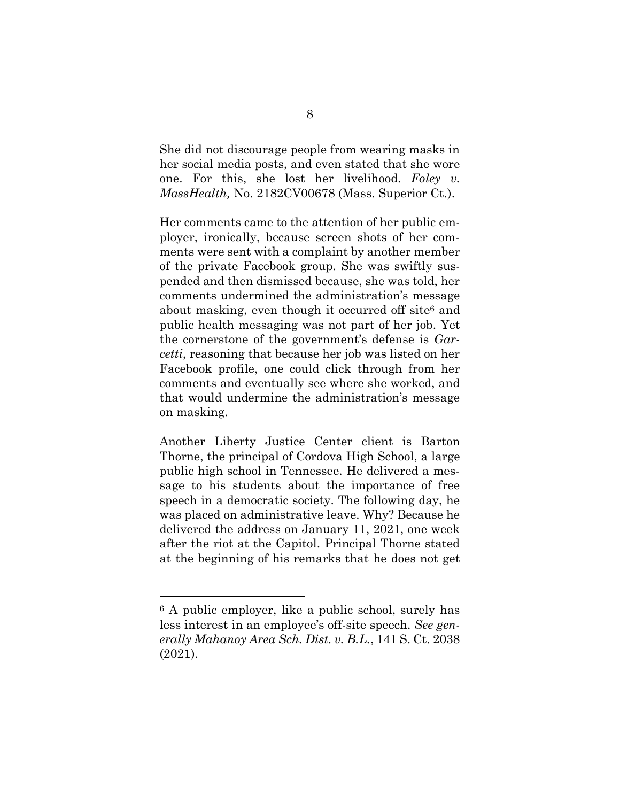She did not discourage people from wearing masks in her social media posts, and even stated that she wore one. For this, she lost her livelihood. *Foley v. MassHealth,* No. 2182CV00678 (Mass. Superior Ct.).

Her comments came to the attention of her public employer, ironically, because screen shots of her comments were sent with a complaint by another member of the private Facebook group. She was swiftly suspended and then dismissed because, she was told, her comments undermined the administration's message about masking, even though it occurred off site $6$  and public health messaging was not part of her job. Yet the cornerstone of the government's defense is *Garcetti*, reasoning that because her job was listed on her Facebook profile, one could click through from her comments and eventually see where she worked, and that would undermine the administration's message on masking.

Another Liberty Justice Center client is Barton Thorne, the principal of Cordova High School, a large public high school in Tennessee. He delivered a message to his students about the importance of free speech in a democratic society. The following day, he was placed on administrative leave. Why? Because he delivered the address on January 11, 2021, one week after the riot at the Capitol. Principal Thorne stated at the beginning of his remarks that he does not get

<sup>6</sup> A public employer, like a public school, surely has less interest in an employee's off-site speech. *See generally Mahanoy Area Sch. Dist. v. B.L.*, 141 S. Ct. 2038 (2021).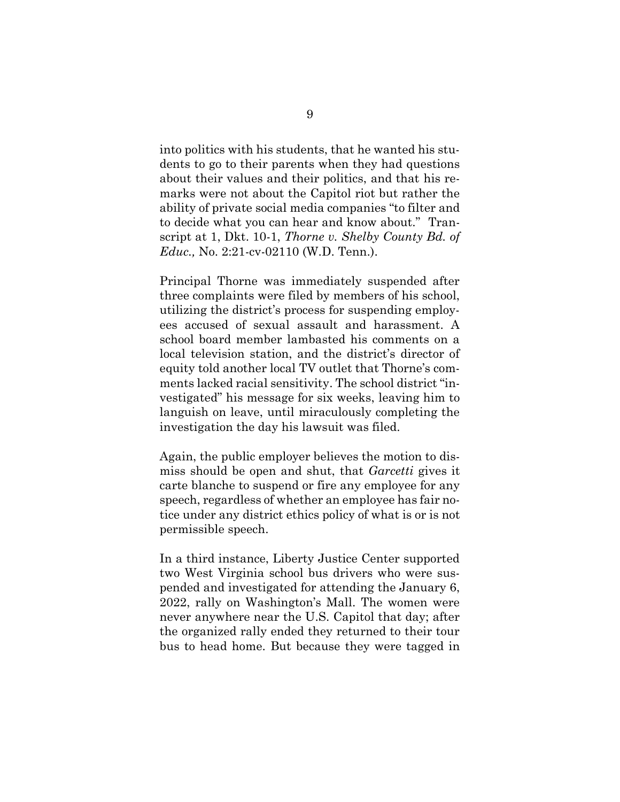into politics with his students, that he wanted his students to go to their parents when they had questions about their values and their politics, and that his remarks were not about the Capitol riot but rather the ability of private social media companies "to filter and to decide what you can hear and know about." Transcript at 1, Dkt. 10-1, *Thorne v. Shelby County Bd. of Educ.,* No. 2:21-cv-02110 (W.D. Tenn.).

Principal Thorne was immediately suspended after three complaints were filed by members of his school, utilizing the district's process for suspending employees accused of sexual assault and harassment. A school board member lambasted his comments on a local television station, and the district's director of equity told another local TV outlet that Thorne's comments lacked racial sensitivity. The school district "investigated" his message for six weeks, leaving him to languish on leave, until miraculously completing the investigation the day his lawsuit was filed.

Again, the public employer believes the motion to dismiss should be open and shut, that *Garcetti* gives it carte blanche to suspend or fire any employee for any speech, regardless of whether an employee has fair notice under any district ethics policy of what is or is not permissible speech.

In a third instance, Liberty Justice Center supported two West Virginia school bus drivers who were suspended and investigated for attending the January 6, 2022, rally on Washington's Mall. The women were never anywhere near the U.S. Capitol that day; after the organized rally ended they returned to their tour bus to head home. But because they were tagged in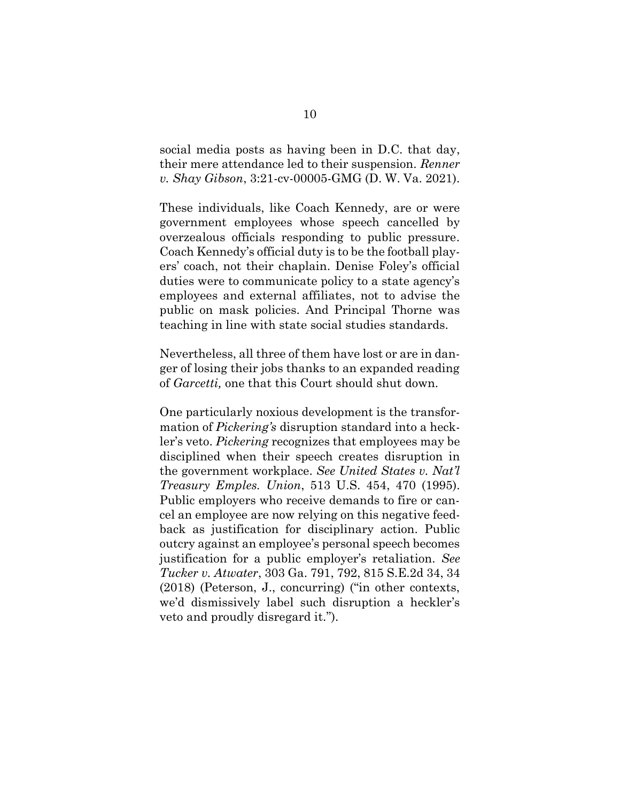social media posts as having been in D.C. that day, their mere attendance led to their suspension. *Renner v. Shay Gibson*, 3:21-cv-00005-GMG (D. W. Va. 2021).

These individuals, like Coach Kennedy, are or were government employees whose speech cancelled by overzealous officials responding to public pressure. Coach Kennedy's official duty is to be the football players' coach, not their chaplain. Denise Foley's official duties were to communicate policy to a state agency's employees and external affiliates, not to advise the public on mask policies. And Principal Thorne was teaching in line with state social studies standards.

Nevertheless, all three of them have lost or are in danger of losing their jobs thanks to an expanded reading of *Garcetti,* one that this Court should shut down.

One particularly noxious development is the transformation of *Pickering's* disruption standard into a heckler's veto. *Pickering* recognizes that employees may be disciplined when their speech creates disruption in the government workplace. *See United States v. Nat'l Treasury Emples. Union*, 513 U.S. 454, 470 (1995). Public employers who receive demands to fire or cancel an employee are now relying on this negative feedback as justification for disciplinary action. Public outcry against an employee's personal speech becomes justification for a public employer's retaliation. *See Tucker v. Atwater*, 303 Ga. 791, 792, 815 S.E.2d 34, 34 (2018) (Peterson, J., concurring) ("in other contexts, we'd dismissively label such disruption a heckler's veto and proudly disregard it.").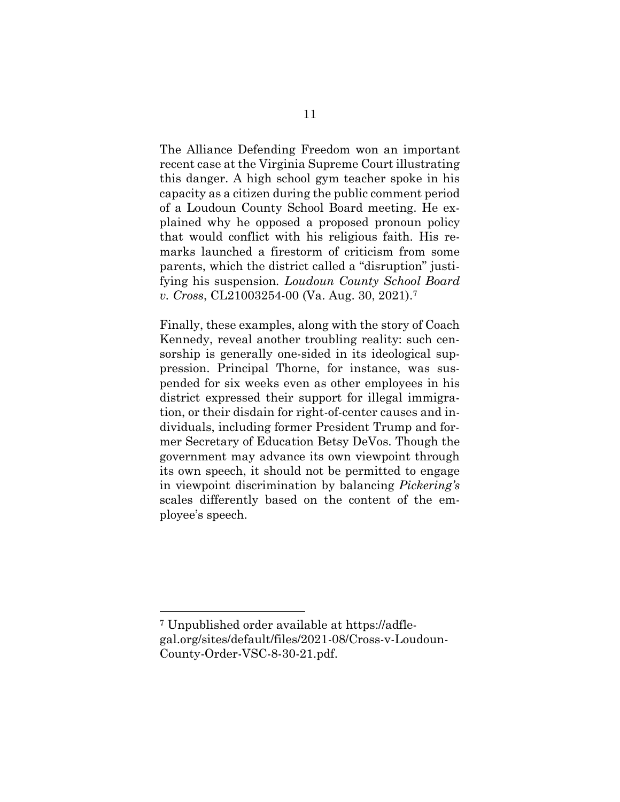The Alliance Defending Freedom won an important recent case at the Virginia Supreme Court illustrating this danger. A high school gym teacher spoke in his capacity as a citizen during the public comment period of a Loudoun County School Board meeting. He explained why he opposed a proposed pronoun policy that would conflict with his religious faith. His remarks launched a firestorm of criticism from some parents, which the district called a "disruption" justifying his suspension*. Loudoun County School Board v. Cross*, CL21003254-00 (Va. Aug. 30, 2021). 7

Finally, these examples, along with the story of Coach Kennedy, reveal another troubling reality: such censorship is generally one-sided in its ideological suppression. Principal Thorne, for instance, was suspended for six weeks even as other employees in his district expressed their support for illegal immigration, or their disdain for right-of-center causes and individuals, including former President Trump and former Secretary of Education Betsy DeVos. Though the government may advance its own viewpoint through its own speech, it should not be permitted to engage in viewpoint discrimination by balancing *Pickering's*  scales differently based on the content of the employee's speech.

<sup>7</sup> Unpublished order available at https://adflegal.org/sites/default/files/2021-08/Cross-v-Loudoun-County-Order-VSC-8-30-21.pdf.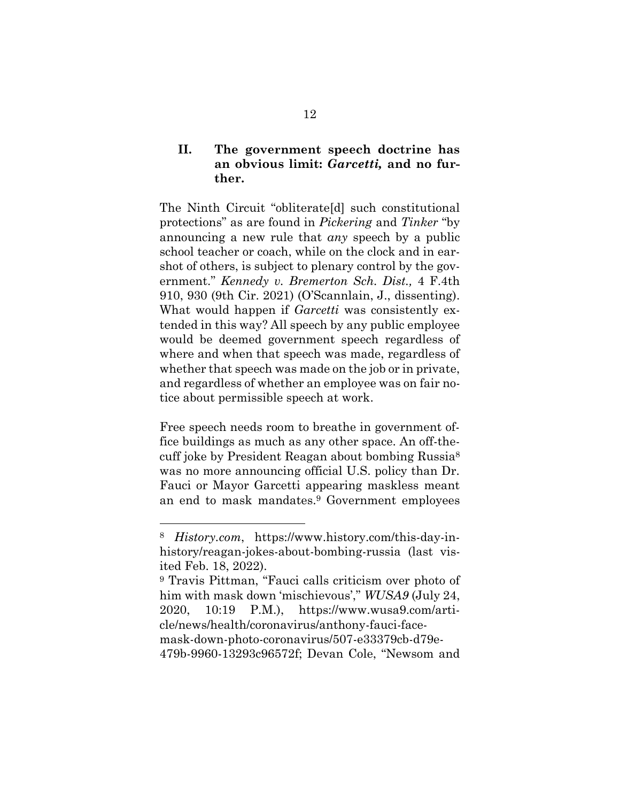## **II. The government speech doctrine has an obvious limit:** *Garcetti,* **and no further.**

The Ninth Circuit "obliterate[d] such constitutional protections" as are found in *Pickering* and *Tinker* "by announcing a new rule that *any* speech by a public school teacher or coach, while on the clock and in earshot of others, is subject to plenary control by the government." *Kennedy v. Bremerton Sch. Dist.,* 4 F.4th 910, 930 (9th Cir. 2021) (O'Scannlain, J., dissenting). What would happen if *Garcetti* was consistently extended in this way? All speech by any public employee would be deemed government speech regardless of where and when that speech was made, regardless of whether that speech was made on the job or in private, and regardless of whether an employee was on fair notice about permissible speech at work.

Free speech needs room to breathe in government office buildings as much as any other space. An off-thecuff joke by President Reagan about bombing Russia<sup>8</sup> was no more announcing official U.S. policy than Dr. Fauci or Mayor Garcetti appearing maskless meant an end to mask mandates.<sup>9</sup> Government employees

<sup>8</sup> *History.com*, https://www.history.com/this-day-inhistory/reagan-jokes-about-bombing-russia (last visited Feb. 18, 2022).

<sup>9</sup> Travis Pittman, "Fauci calls criticism over photo of him with mask down 'mischievous'," *WUSA9* (July 24, 2020, 10:19 P.M.), https://www.wusa9.com/article/news/health/coronavirus/anthony-fauci-facemask-down-photo-coronavirus/507-e33379cb-d79e-479b-9960-13293c96572f; Devan Cole, "Newsom and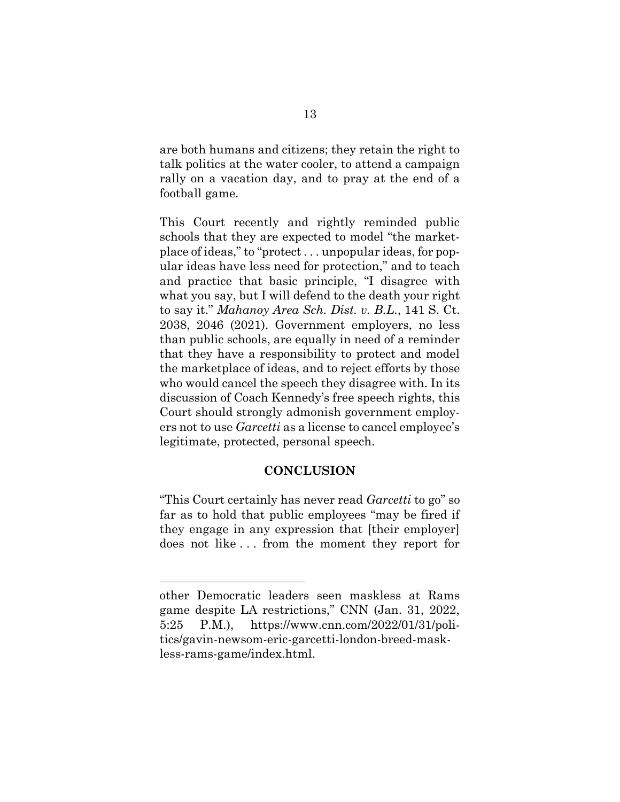are both humans and citizens; they retain the right to talk politics at the water cooler, to attend a campaign rally on a vacation day, and to pray at the end of a football game.

This Court recently and rightly reminded public schools that they are expected to model "the marketplace of ideas," to "protect . . . unpopular ideas, for popular ideas have less need for protection," and to teach and practice that basic principle, "I disagree with what you say, but I will defend to the death your right to say it." *Mahanoy Area Sch. Dist. v. B.L.*, 141 S. Ct. 2038, 2046 (2021). Government employers, no less than public schools, are equally in need of a reminder that they have a responsibility to protect and model the marketplace of ideas, and to reject efforts by those who would cancel the speech they disagree with. In its discussion of Coach Kennedy's free speech rights, this Court should strongly admonish government employers not to use *Garcetti* as a license to cancel employee's legitimate, protected, personal speech.

## **CONCLUSION**

"This Court certainly has never read *Garcetti* to go" so far as to hold that public employees "may be fired if they engage in any expression that [their employer] does not like . . . from the moment they report for

other Democratic leaders seen maskless at Rams game despite LA restrictions," CNN (Jan. 31, 2022, 5:25 P.M.), https://www.cnn.com/2022/01/31/politics/gavin-newsom-eric-garcetti-london-breed-maskless-rams-game/index.html.